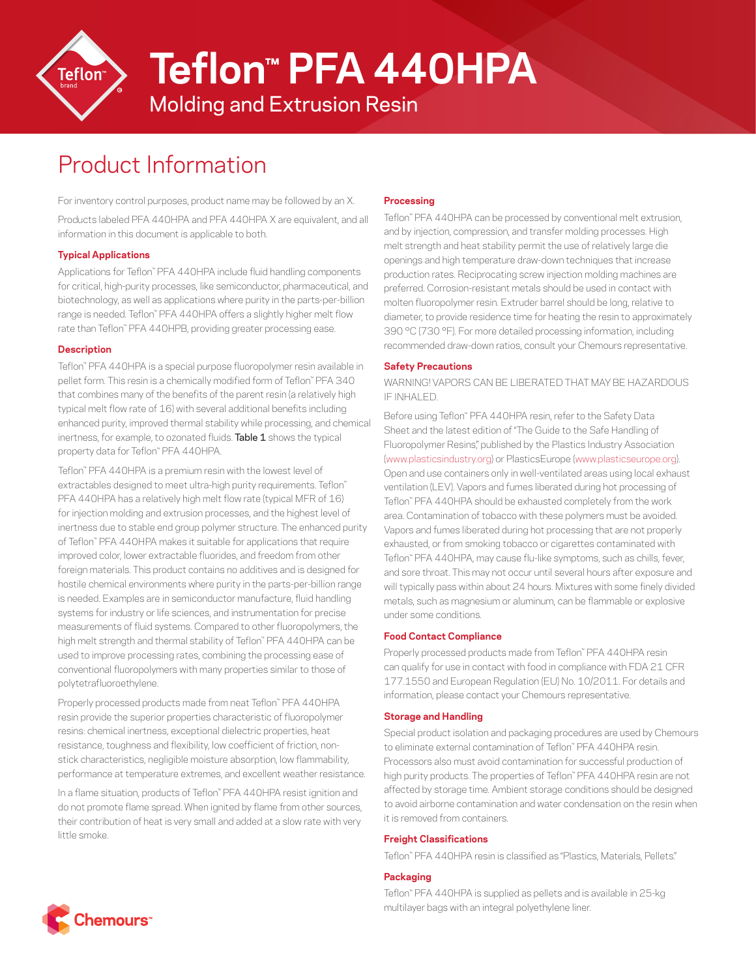

**Teflon™ PFA 440HPA**

Molding and Extrusion Resin

# Product Information

For inventory control purposes, product name may be followed by an X. Products labeled PFA 440HPA and PFA 440HPA X are equivalent, and all information in this document is applicable to both.

## **Typical Applications**

Applications for Teflon™ PFA 440HPA include fluid handling components for critical, high-purity processes, like semiconductor, pharmaceutical, and biotechnology, as well as applications where purity in the parts-per-billion range is needed. Teflon™ PFA 440HPA offers a slightly higher melt flow rate than Teflon™ PFA 440HPB, providing greater processing ease.

#### **Description**

Teflon™ PFA 440HPA is a special purpose fluoropolymer resin available in pellet form. This resin is a chemically modified form of Teflon™ PFA 340 that combines many of the benefits of the parent resin (a relatively high typical melt flow rate of 16) with several additional benefits including enhanced purity, improved thermal stability while processing, and chemical inertness, for example, to ozonated fluids. **Table 1** shows the typical property data for Teflon™ PFA 440HPA.

Teflon™ PFA 440HPA is a premium resin with the lowest level of extractables designed to meet ultra-high purity requirements. Teflon™ PFA 440HPA has a relatively high melt flow rate (typical MFR of 16) for injection molding and extrusion processes, and the highest level of inertness due to stable end group polymer structure. The enhanced purity of Teflon™ PFA 440HPA makes it suitable for applications that require improved color, lower extractable fluorides, and freedom from other foreign materials. This product contains no additives and is designed for hostile chemical environments where purity in the parts-per-billion range is needed. Examples are in semiconductor manufacture, fluid handling systems for industry or life sciences, and instrumentation for precise measurements of fluid systems. Compared to other fluoropolymers, the high melt strength and thermal stability of Teflon™ PFA 440HPA can be used to improve processing rates, combining the processing ease of conventional fluoropolymers with many properties similar to those of polytetrafluoroethylene.

Properly processed products made from neat Teflon™ PFA 440HPA resin provide the superior properties characteristic of fluoropolymer resins: chemical inertness, exceptional dielectric properties, heat resistance, toughness and flexibility, low coefficient of friction, nonstick characteristics, negligible moisture absorption, low flammability, performance at temperature extremes, and excellent weather resistance.

In a flame situation, products of Teflon™ PFA 440HPA resist ignition and do not promote flame spread. When ignited by flame from other sources, their contribution of heat is very small and added at a slow rate with very little smoke.

## **Processing**

Teflon™ PFA 440HPA can be processed by conventional melt extrusion, and by injection, compression, and transfer molding processes. High melt strength and heat stability permit the use of relatively large die openings and high temperature draw-down techniques that increase production rates. Reciprocating screw injection molding machines are preferred. Corrosion-resistant metals should be used in contact with molten fluoropolymer resin. Extruder barrel should be long, relative to diameter, to provide residence time for heating the resin to approximately 390 °C (730 °F). For more detailed processing information, including recommended draw-down ratios, consult your Chemours representative.

#### **Safety Precautions**

WARNING! VAPORS CAN BE LIBERATED THAT MAY BE HAZARDOUS IF INHALED.

Before using Teflon™ PFA 440HPA resin, refer to the Safety Data Sheet and the latest edition of "The Guide to the Safe Handling of Fluoropolymer Resins," published by the Plastics Industry Association ([www.plasticsindustry.org](http://www.plasticsindustry.org)) or PlasticsEurope [\(www.plasticseurope.org\)](http://www.plasticseurope.org). Open and use containers only in well-ventilated areas using local exhaust ventilation (LEV). Vapors and fumes liberated during hot processing of Teflon™ PFA 440HPA should be exhausted completely from the work area. Contamination of tobacco with these polymers must be avoided. Vapors and fumes liberated during hot processing that are not properly exhausted, or from smoking tobacco or cigarettes contaminated with Teflon™ PFA 440HPA, may cause flu-like symptoms, such as chills, fever, and sore throat. This may not occur until several hours after exposure and will typically pass within about 24 hours. Mixtures with some finely divided metals, such as magnesium or aluminum, can be flammable or explosive under some conditions.

#### **Food Contact Compliance**

Properly processed products made from Teflon™ PFA 440HPA resin can qualify for use in contact with food in compliance with FDA 21 CFR 177.1550 and European Regulation (EU) No. 10/2011. For details and information, please contact your Chemours representative.

#### **Storage and Handling**

Special product isolation and packaging procedures are used by Chemours to eliminate external contamination of Teflon™ PFA 440HPA resin. Processors also must avoid contamination for successful production of high purity products. The properties of Teflon™ PFA 440HPA resin are not affected by storage time. Ambient storage conditions should be designed to avoid airborne contamination and water condensation on the resin when it is removed from containers.

#### **Freight Classifications**

Teflon™ PFA 440HPA resin is classified as "Plastics, Materials, Pellets."

#### **Packaging**

Teflon™ PFA 440HPA is supplied as pellets and is available in 25-kg multilayer bags with an integral polyethylene liner.